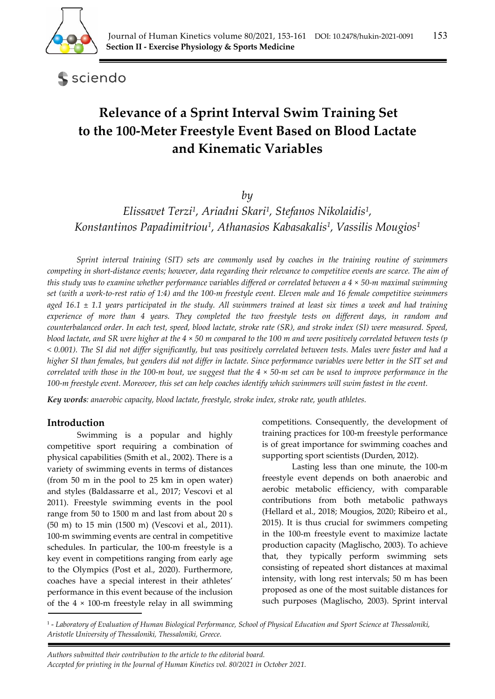

sciendo

# **Relevance of a Sprint Interval Swim Training Set to the 100‐Meter Freestyle Event Based on Blood Lactate and Kinematic Variables**

*by* 

*Elissavet Terzi1, Ariadni Skari1, Stefanos Nikolaidis1, Konstantinos Papadimitriou1, Athanasios Kabasakalis1, Vassilis Mougios1*

*Sprint interval training (SIT) sets are commonly used by coaches in the training routine of swimmers competing in short-distance events; however, data regarding their relevance to competitive events are scarce. The aim of this study was to examine whether performance variables differed or correlated between a 4 × 50-m maximal swimming set (with a work-to-rest ratio of 1:4) and the 100-m freestyle event. Eleven male and 16 female competitive swimmers aged 16.1 ± 1.1 years participated in the study. All swimmers trained at least six times a week and had training experience of more than 4 years. They completed the two freestyle tests on different days, in random and counterbalanced order. In each test, speed, blood lactate, stroke rate (SR), and stroke index (SI) were measured. Speed, blood lactate, and SR were higher at the 4 × 50 m compared to the 100 m and were positively correlated between tests (p < 0.001). The SI did not differ significantly, but was positively correlated between tests. Males were faster and had a higher SI than females, but genders did not differ in lactate. Since performance variables were better in the SIT set and correlated with those in the 100-m bout, we suggest that the 4 × 50-m set can be used to improve performance in the 100-m freestyle event. Moreover, this set can help coaches identify which swimmers will swim fastest in the event.* 

*Key words: anaerobic capacity, blood lactate, freestyle, stroke index, stroke rate, youth athletes.* 

## **Introduction**

Swimming is a popular and highly competitive sport requiring a combination of physical capabilities (Smith et al., 2002). There is a variety of swimming events in terms of distances (from 50 m in the pool to 25 km in open water) and styles (Baldassarre et al., 2017; Vescovi et al 2011). Freestyle swimming events in the pool range from 50 to 1500 m and last from about 20 s (50 m) to 15 min (1500 m) (Vescovi et al., 2011). 100-m swimming events are central in competitive schedules. In particular, the 100-m freestyle is a key event in competitions ranging from early age to the Olympics (Post et al., 2020). Furthermore, coaches have a special interest in their athletes' performance in this event because of the inclusion of the  $4 \times 100$ -m freestyle relay in all swimming

competitions. Consequently, the development of training practices for 100-m freestyle performance is of great importance for swimming coaches and supporting sport scientists (Durden, 2012).

Lasting less than one minute, the 100-m freestyle event depends on both anaerobic and aerobic metabolic efficiency, with comparable contributions from both metabolic pathways (Hellard et al., 2018; Mougios, 2020; Ribeiro et al., 2015). It is thus crucial for swimmers competing in the 100-m freestyle event to maximize lactate production capacity (Maglischo, 2003). To achieve that, they typically perform swimming sets consisting of repeated short distances at maximal intensity, with long rest intervals; 50 m has been proposed as one of the most suitable distances for such purposes (Maglischo, 2003). Sprint interval

1 - *Laboratory of Evaluation of Human Biological Performance, School of Physical Education and Sport Science at Thessaloniki, Aristotle University of Thessaloniki, Thessaloniki, Greece.* 

 *Authors submitted their contribution to the article to the editorial board. Accepted for printing in the Journal of Human Kinetics vol. 80/2021 in October 2021.*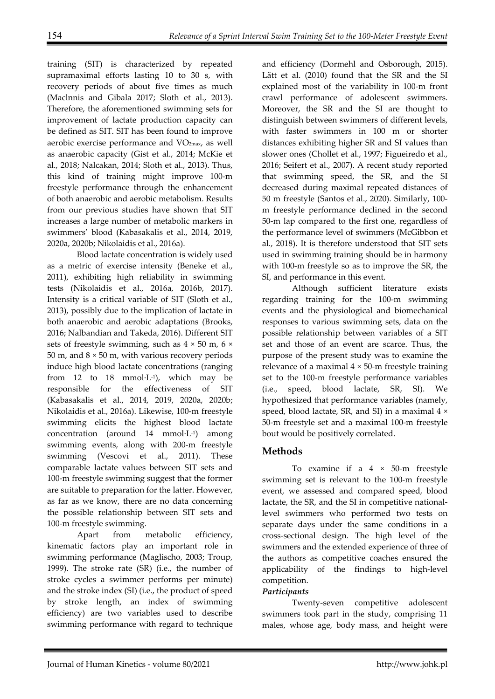training (SIT) is characterized by repeated supramaximal efforts lasting 10 to 30 s, with recovery periods of about five times as much (Maclnnis and Gibala 2017; Sloth et al., 2013). Therefore, the aforementioned swimming sets for improvement of lactate production capacity can be defined as SIT. SIT has been found to improve aerobic exercise performance and VO2max, as well as anaerobic capacity (Gist et al., 2014; McKie et al., 2018; Nalcakan, 2014; Sloth et al., 2013). Thus, this kind of training might improve 100-m freestyle performance through the enhancement of both anaerobic and aerobic metabolism. Results from our previous studies have shown that SIT increases a large number of metabolic markers in swimmers' blood (Kabasakalis et al., 2014, 2019, 2020a, 2020b; Nikolaidis et al., 2016a).

Blood lactate concentration is widely used as a metric of exercise intensity (Beneke et al., 2011), exhibiting high reliability in swimming tests (Nikolaidis et al., 2016a, 2016b, 2017). Intensity is a critical variable of SIT (Sloth et al., 2013), possibly due to the implication of lactate in both anaerobic and aerobic adaptations (Brooks, 2016; Nalbandian and Takeda, 2016). Different SIT sets of freestyle swimming, such as  $4 \times 50$  m,  $6 \times$ 50 m, and  $8 \times 50$  m, with various recovery periods induce high blood lactate concentrations (ranging from 12 to 18 mmol $\cdot$ L $\cdot$ 1), which may be responsible for the effectiveness of SIT (Kabasakalis et al., 2014, 2019, 2020a, 2020b; Nikolaidis et al., 2016a). Likewise, 100-m freestyle swimming elicits the highest blood lactate concentration (around 14 mmol·L-1) among swimming events, along with 200-m freestyle swimming (Vescovi et al., 2011). These comparable lactate values between SIT sets and 100-m freestyle swimming suggest that the former are suitable to preparation for the latter. However, as far as we know, there are no data concerning the possible relationship between SIT sets and 100-m freestyle swimming.

Apart from metabolic efficiency, kinematic factors play an important role in swimming performance (Maglischo, 2003; Troup, 1999). The stroke rate (SR) (i.e., the number of stroke cycles a swimmer performs per minute) and the stroke index (SI) (i.e., the product of speed by stroke length, an index of swimming efficiency) are two variables used to describe swimming performance with regard to technique

and efficiency (Dormehl and Osborough, 2015). Lätt et al. (2010) found that the SR and the SI explained most of the variability in 100-m front crawl performance of adolescent swimmers. Moreover, the SR and the SI are thought to distinguish between swimmers of different levels, with faster swimmers in 100 m or shorter distances exhibiting higher SR and SI values than slower ones (Chollet et al., 1997; Figueiredo et al., 2016; Seifert et al., 2007). Α recent study reported that swimming speed, the SR, and the SI decreased during maximal repeated distances of 50 m freestyle (Santos et al., 2020). Similarly, 100 m freestyle performance declined in the second 50-m lap compared to the first one, regardless of the performance level of swimmers (McGibbon et al., 2018). It is therefore understood that SIT sets used in swimming training should be in harmony with 100-m freestyle so as to improve the SR, the SI, and performance in this event.

Although sufficient literature exists regarding training for the 100-m swimming events and the physiological and biomechanical responses to various swimming sets, data on the possible relationship between variables of a SIT set and those of an event are scarce. Thus, the purpose of the present study was to examine the relevance of a maximal  $4 \times 50$ -m freestyle training set to the 100-m freestyle performance variables (i.e., speed, blood lactate, SR, SI). We hypothesized that performance variables (namely, speed, blood lactate, SR, and SI) in a maximal 4 × 50-m freestyle set and a maximal 100-m freestyle bout would be positively correlated.

# **Methods**

To examine if a  $4 \times 50$ -m freestyle swimming set is relevant to the 100-m freestyle event, we assessed and compared speed, blood lactate, the SR, and the SI in competitive nationallevel swimmers who performed two tests on separate days under the same conditions in a cross-sectional design. The high level of the swimmers and the extended experience of three of the authors as competitive coaches ensured the applicability of the findings to high-level competition.

## *Participants*

Twenty-seven competitive adolescent swimmers took part in the study, comprising 11 males, whose age, body mass, and height were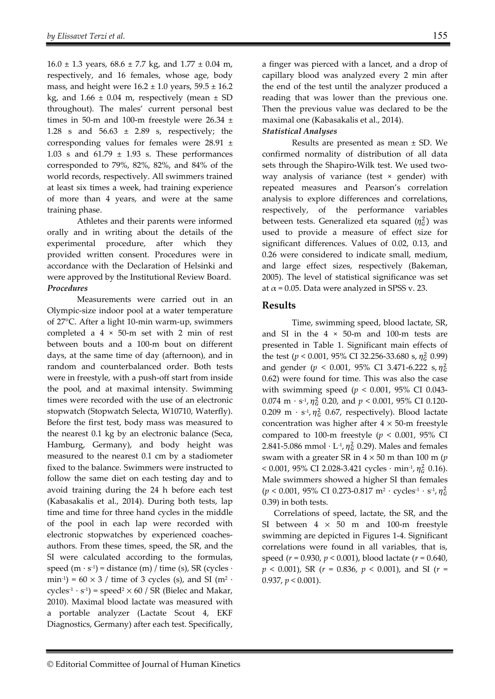$16.0 \pm 1.3$  years,  $68.6 \pm 7.7$  kg, and  $1.77 \pm 0.04$  m, respectively, and 16 females, whose age, body mass, and height were  $16.2 \pm 1.0$  years,  $59.5 \pm 16.2$ kg, and  $1.66 \pm 0.04$  m, respectively (mean  $\pm$  SD throughout). The males' current personal best times in 50-m and 100-m freestyle were  $26.34 \pm$ 1.28 s and 56.63 ± 2.89 s, respectively; the corresponding values for females were 28.91 ± 1.03 s and  $61.79 \pm 1.93$  s. These performances corresponded to 79%, 82%, 82%, and 84% of the world records, respectively. All swimmers trained at least six times a week, had training experience of more than 4 years, and were at the same training phase.

Athletes and their parents were informed orally and in writing about the details of the experimental procedure, after which they provided written consent. Procedures were in accordance with the Declaration of Helsinki and were approved by the Institutional Review Board. *Procedures* 

Measurements were carried out in an Olympic-size indoor pool at a water temperature of 27°C. After a light 10-min warm-up, swimmers completed a  $4 \times 50$ -m set with 2 min of rest between bouts and a 100-m bout on different days, at the same time of day (afternoon), and in random and counterbalanced order. Both tests were in freestyle, with a push-off start from inside the pool, and at maximal intensity. Swimming times were recorded with the use of an electronic stopwatch (Stopwatch Selecta, W10710, Waterfly). Before the first test, body mass was measured to the nearest 0.1 kg by an electronic balance (Seca, Hamburg, Germany), and body height was measured to the nearest 0.1 cm by a stadiometer fixed to the balance. Swimmers were instructed to follow the same diet on each testing day and to avoid training during the 24 h before each test (Kabasakalis et al., 2014). During both tests, lap time and time for three hand cycles in the middle of the pool in each lap were recorded with electronic stopwatches by experienced coachesauthors. From these times, speed, the SR, and the SI were calculated according to the formulas, speed  $(m \cdot s^{-1})$  = distance  $(m) /$  time (s), SR (cycles  $\cdot$ min<sup>-1</sup>) =  $60 \times 3$  / time of 3 cycles (s), and SI (m<sup>2</sup> ·  $cycles<sup>-1</sup> · s<sup>-1</sup>$  = speed<sup>2</sup> × 60 / SR (Bielec and Makar, 2010). Maximal blood lactate was measured with a portable analyzer (Lactate Scout 4, EKF Diagnostics, Germany) after each test. Specifically,

a finger was pierced with a lancet, and a drop of capillary blood was analyzed every 2 min after the end of the test until the analyzer produced a reading that was lower than the previous one. Then the previous value was declared to be the maximal one (Kabasakalis et al., 2014).

#### *Statistical Analyses*

Results are presented as mean ± SD. We confirmed normality of distribution of all data sets through the Shapiro-Wilk test. We used twoway analysis of variance (test × gender) with repeated measures and Pearson's correlation analysis to explore differences and correlations, respectively, of the performance variables between tests. Generalized eta squared  $(\eta_G^2)$  was used to provide a measure of effect size for significant differences. Values of 0.02, 0.13, and 0.26 were considered to indicate small, medium, and large effect sizes, respectively (Bakeman, 2005). The level of statistical significance was set at  $\alpha$  = 0.05. Data were analyzed in SPSS v. 23.

## **Results**

Time, swimming speed, blood lactate, SR, and SI in the  $4 \times 50$ -m and 100-m tests are presented in Table 1. Significant main effects of the test ( $p < 0.001$ , 95% CI 32.256-33.680 s,  $\eta_G^2$  0.99) and gender ( $p < 0.001$ , 95% CI 3.471-6.222 s,  $\eta_G^2$ 0.62) were found for time. This was also the case with swimming speed (*p* < 0.001, 95% CI 0.043- 0.074 m  $\cdot$  s<sup>-1</sup>,  $\eta_G^2$  0.20, and  $p < 0.001$ , 95% CI 0.120-0.209 m ·  $s<sup>-1</sup>$ ,  $\eta<sub>G</sub><sup>2</sup>$  0.67, respectively). Blood lactate concentration was higher after  $4 \times 50$ -m freestyle compared to 100-m freestyle ( $p < 0.001$ , 95% CI 2.841-5.086 mmol  $\cdot$  L<sup>-1</sup>,  $\eta_G^2$  0.29). Males and females swam with a greater SR in  $4 \times 50$  m than 100 m ( $p$  $<$  0.001, 95% CI 2.028-3.421 cycles  $\cdot$  min<sup>-1</sup>,  $\eta_G^2$  0.16). Male swimmers showed a higher SI than females  $(p < 0.001, 95\% \text{ CI } 0.273 - 0.817 \text{ m}^2 \cdot \text{cycles}^1 \cdot \text{s}^1, \eta_6^2$ 0.39) in both tests.

Correlations of speed, lactate, the SR, and the SI between  $4 \times 50$  m and 100-m freestyle swimming are depicted in Figures 1-4. Significant correlations were found in all variables, that is, speed (*r* = 0.930, *p* < 0.001), blood lactate (*r* = 0.640, *p* < 0.001), SR (*r* = 0.836, *p* < 0.001), and SI (*r* = 0.937, *p* < 0.001).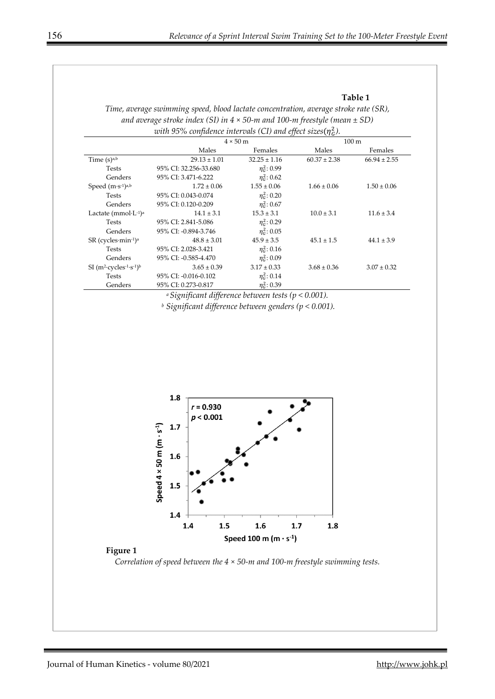#### **Table 1**

| Time, average swimming speed, blood lactate concentration, average stroke rate (SR),  |
|---------------------------------------------------------------------------------------|
| and average stroke index (SI) in $4 \times 50$ -m and 100-m freestyle (mean $\pm$ SD) |
| with 95% confidence intervals (CI) and effect sizes( $\eta_G^2$ ).                    |

|                                                                 | $4 \times 50$ m       |                   | $100 \text{ m}$  |                  |
|-----------------------------------------------------------------|-----------------------|-------------------|------------------|------------------|
|                                                                 | Males                 | Females           | Males            | Females          |
| Time $(s)$ <sub>a,b</sub>                                       | $29.13 \pm 1.01$      | $32.25 \pm 1.16$  | $60.37 \pm 2.38$ | $66.94 \pm 2.55$ |
| <b>Tests</b>                                                    | 95% CI: 32.256-33.680 | $\eta_c^2$ : 0.99 |                  |                  |
| Genders                                                         | 95% CI: 3.471-6.222   | $\eta_c^2$ : 0.62 |                  |                  |
| Speed $(m·s-1)a,b$                                              | $1.72 \pm 0.06$       | $1.55 \pm 0.06$   | $1.66 \pm 0.06$  | $1.50 \pm 0.06$  |
| <b>Tests</b>                                                    | 95% CI: 0.043-0.074   | $\eta_c^2$ : 0.20 |                  |                  |
| Genders                                                         | 95% CI: 0.120-0.209   | $\eta_c^2$ : 0.67 |                  |                  |
| Lactate (mmol $\cdot$ L $\cdot$ <sup>1</sup> ) <sup>a</sup>     | $14.1 \pm 3.1$        | $15.3 \pm 3.1$    | $10.0 \pm 3.1$   | $11.6 \pm 3.4$   |
| <b>Tests</b>                                                    | 95% CI: 2.841-5.086   | $n_c^2$ : 0.29    |                  |                  |
| Genders                                                         | 95% CI: -0.894-3.746  | $\eta_c^2$ : 0.05 |                  |                  |
| $SR$ (cycles min-1) <sup>a</sup>                                | $48.8 \pm 3.01$       | $45.9 \pm 3.5$    | $45.1 \pm 1.5$   | $44.1 \pm 3.9$   |
| <b>Tests</b>                                                    | 95% CI: 2.028-3.421   | $\eta_c^2$ : 0.16 |                  |                  |
| Genders                                                         | 95% CI: -0.585-4.470  | $n_c^2$ : 0.09    |                  |                  |
| SI $(m^2$ -cycles <sup>-1</sup> -s <sup>-1</sup> ) <sup>b</sup> | $3.65 \pm 0.39$       | $3.17 \pm 0.33$   | $3.68 \pm 0.36$  | $3.07 \pm 0.32$  |
| <b>Tests</b>                                                    | 95% CI: -0.016-0.102  | $\eta_c^2$ : 0.14 |                  |                  |
| Genders                                                         | 95% CI: 0.273-0.817   | $\eta_c^2$ : 0.39 |                  |                  |

*a Significant difference between tests (p < 0.001).* 

*b Significant difference between genders (p < 0.001).* 



### **Figure 1**

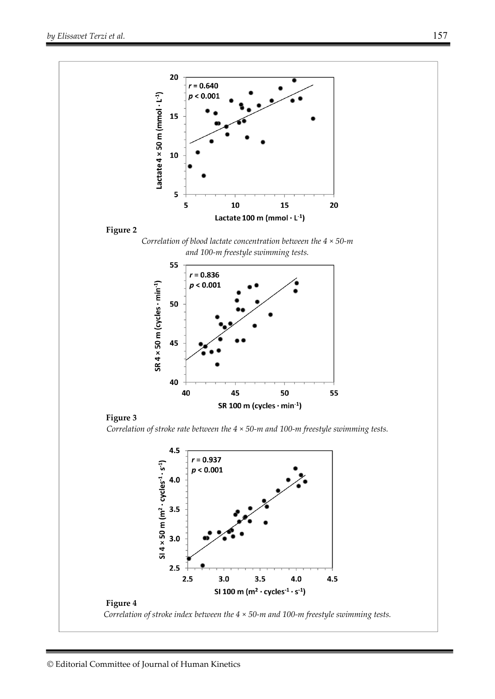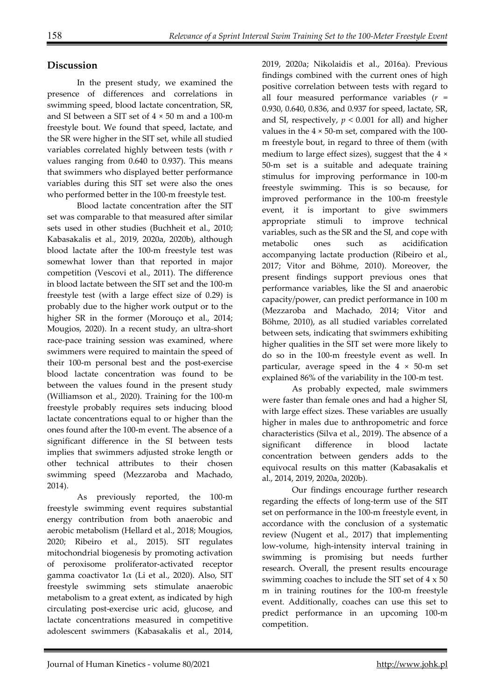# **Discussion**

In the present study, we examined the presence of differences and correlations in swimming speed, blood lactate concentration, SR, and SI between a SIT set of  $4 \times 50$  m and a 100-m freestyle bout. We found that speed, lactate, and the SR were higher in the SIT set, while all studied variables correlated highly between tests (with *r* values ranging from 0.640 to 0.937). This means that swimmers who displayed better performance variables during this SIT set were also the ones who performed better in the 100-m freestyle test.

Blood lactate concentration after the SIT set was comparable to that measured after similar sets used in other studies (Buchheit et al., 2010; Kabasakalis et al., 2019, 2020a, 2020b), although blood lactate after the 100-m freestyle test was somewhat lower than that reported in major competition (Vescovi et al., 2011). The difference in blood lactate between the SIT set and the 100-m freestyle test (with a large effect size of 0.29) is probably due to the higher work output or to the higher SR in the former (Morouço et al., 2014; Mougios, 2020). In a recent study, an ultra-short race-pace training session was examined, where swimmers were required to maintain the speed of their 100-m personal best and the post-exercise blood lactate concentration was found to be between the values found in the present study (Williamson et al., 2020). Training for the 100-m freestyle probably requires sets inducing blood lactate concentrations equal to or higher than the ones found after the 100-m event. The absence of a significant difference in the SI between tests implies that swimmers adjusted stroke length or other technical attributes to their chosen swimming speed (Mezzaroba and Machado, 2014).

As previously reported, the 100-m freestyle swimming event requires substantial energy contribution from both anaerobic and aerobic metabolism (Hellard et al., 2018; Mougios, 2020; Ribeiro et al., 2015). SIT regulates mitochondrial biogenesis by promoting activation of peroxisome proliferator-activated receptor gamma coactivator 1α (Li et al., 2020). Also, SIT freestyle swimming sets stimulate anaerobic metabolism to a great extent, as indicated by high circulating post-exercise uric acid, glucose, and lactate concentrations measured in competitive adolescent swimmers (Kabasakalis et al., 2014,

2019, 2020a; Nikolaidis et al., 2016a). Previous findings combined with the current ones of high positive correlation between tests with regard to all four measured performance variables (*r* = 0.930, 0.640, 0.836, and 0.937 for speed, lactate, SR, and SI, respectively,  $p < 0.001$  for all) and higher values in the  $4 \times 50$ -m set, compared with the 100m freestyle bout, in regard to three of them (with medium to large effect sizes), suggest that the 4 × 50-m set is a suitable and adequate training stimulus for improving performance in 100-m freestyle swimming. This is so because, for improved performance in the 100-m freestyle event, it is important to give swimmers appropriate stimuli to improve technical variables, such as the SR and the SI, and cope with metabolic ones such as acidification accompanying lactate production (Ribeiro et al., 2017; Vitor and Böhme, 2010). Moreover, the present findings support previous ones that performance variables, like the SI and anaerobic capacity/power, can predict performance in 100 m (Mezzaroba and Machado, 2014; Vitor and Böhme, 2010), as all studied variables correlated between sets, indicating that swimmers exhibiting higher qualities in the SIT set were more likely to do so in the 100-m freestyle event as well. In particular, average speed in the  $4 \times 50$ -m set explained 86% of the variability in the 100-m test.

As probably expected, male swimmers were faster than female ones and had a higher SI, with large effect sizes. These variables are usually higher in males due to anthropometric and force characteristics (Silva et al., 2019). The absence of a significant difference in blood lactate concentration between genders adds to the equivocal results on this matter (Kabasakalis et al., 2014, 2019, 2020a, 2020b).

Our findings encourage further research regarding the effects of long-term use of the SIT set on performance in the 100-m freestyle event, in accordance with the conclusion of a systematic review (Nugent et al., 2017) that implementing low-volume, high-intensity interval training in swimming is promising but needs further research. Overall, the present results encourage swimming coaches to include the SIT set of 4 x 50 m in training routines for the 100-m freestyle event. Additionally, coaches can use this set to predict performance in an upcoming 100-m competition.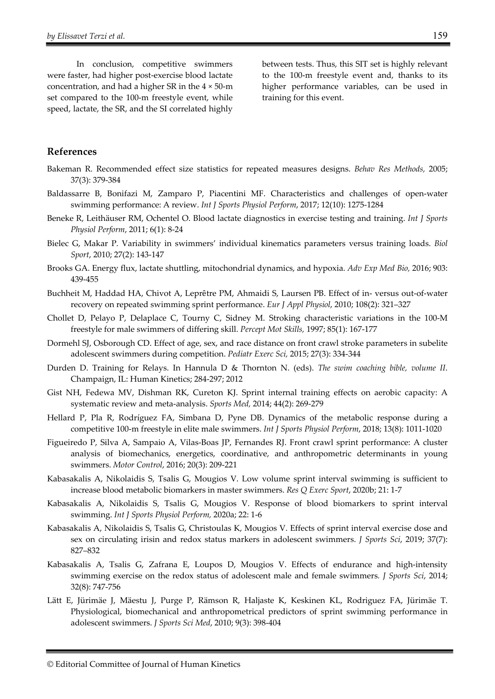In conclusion, competitive swimmers were faster, had higher post-exercise blood lactate concentration, and had a higher SR in the  $4 \times 50$ -m set compared to the 100-m freestyle event, while speed, lactate, the SR, and the SI correlated highly

between tests. Thus, this SIT set is highly relevant to the 100-m freestyle event and, thanks to its higher performance variables, can be used in training for this event.

## **References**

- Bakeman R. Recommended effect size statistics for repeated measures designs. *Behav Res Methods,* 2005; 37(3): 379-384
- Baldassarre B, Bonifazi M, Zamparo P, Piacentini MF. Characteristics and challenges of open-water swimming performance: A review. *Int J Sports Physiol Perform*, 2017; 12(10): 1275-1284
- Beneke R, Leithäuser RM, Ochentel O. Blood lactate diagnostics in exercise testing and training. *Int J Sports Physiol Perform*, 2011; 6(1): 8-24
- Bielec G, Makar P. Variability in swimmers' individual kinematics parameters versus training loads. *Biol Sport*, 2010; 27(2): 143-147
- Brooks GA. Energy flux, lactate shuttling, mitochondrial dynamics, and hypoxia. *Adv Exp Med Bio,* 2016; 903: 439-455
- Buchheit M, Haddad HA, Chivot A, Leprêtre PM, Ahmaidi S, Laursen PB. Effect of in- versus out-of-water recovery on repeated swimming sprint performance. *Eur J Appl Physiol*, 2010; 108(2): 321–327
- Chollet D, Pelayo P, Delaplace C, Tourny C, Sidney M. Stroking characteristic variations in the 100-M freestyle for male swimmers of differing skill. *Percept Mot Skills,* 1997; 85(1): 167-177
- Dormehl SJ, Osborough CD. Effect of age, sex, and race distance on front crawl stroke parameters in subelite adolescent swimmers during competition. *Pediatr Exerc Sci,* 2015; 27(3): 334-344
- Durden D. Training for Relays. In Hannula D & Thornton N. (eds). *The swim coaching bible, volume II*. Champaign, IL: Human Kinetics; 284-297; 2012
- Gist NH, Fedewa MV, Dishman RK, Cureton KJ. Sprint internal training effects on aerobic capacity: A systematic review and meta-analysis. *Sports Med,* 2014; 44(2): 269-279
- Hellard P, Pla R, Rodríguez FA, Simbana D, Pyne DB. Dynamics of the metabolic response during a competitive 100-m freestyle in elite male swimmers. *Int J Sports Physiol Perform*, 2018; 13(8): 1011-1020
- Figueiredo P, Silva A, Sampaio A, Vilas-Boas JP, Fernandes RJ. Front crawl sprint performance: A cluster analysis of biomechanics, energetics, coordinative, and anthropometric determinants in young swimmers. *Motor Control*, 2016; 20(3): 209-221
- Kabasakalis A, Nikolaidis S, Tsalis G, Mougios V. Low volume sprint interval swimming is sufficient to increase blood metabolic biomarkers in master swimmers. *Res Q Exerc Sport*, 2020b; 21: 1-7
- Kabasakalis A, Nikolaidis S, Tsalis G, Mougios V. Response of blood biomarkers to sprint interval swimming. *Int J Sports Physiol Perform,* 2020a; 22: 1-6
- Kabasakalis A, Nikolaidis S, Tsalis G, Christoulas K, Mougios V. Effects of sprint interval exercise dose and sex on circulating irisin and redox status markers in adolescent swimmers. *J Sports Sci*, 2019; 37(7): 827–832
- Kabasakalis A, Tsalis G, Zafrana E, Loupos D, Mougios V. Effects of endurance and high-intensity swimming exercise on the redox status of adolescent male and female swimmers*. J Sports Sci*, 2014; 32(8): 747-756
- Lätt E, Jürimäe J, Mäestu J, Purge P, Rämson R, Haljaste K, Keskinen KL, Rodriguez FA, Jürimäe T. Physiological, biomechanical and anthropometrical predictors of sprint swimming performance in adolescent swimmers. *J Sports Sci Med*, 2010; 9(3): 398-404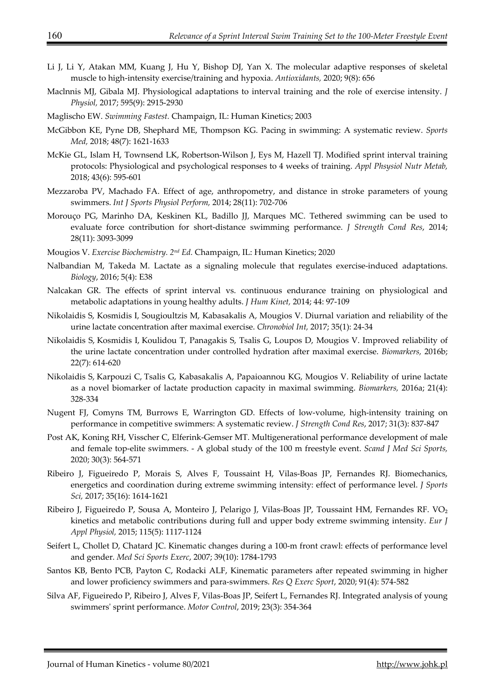- Li J, Li Y, Atakan MM, Kuang J, Hu Y, Bishop DJ, Yan X. The molecular adaptive responses of skeletal muscle to high-intensity exercise/training and hypoxia. *Antioxidants,* 2020; 9(8): 656
- Maclnnis MJ, Gibala MJ. Physiological adaptations to interval training and the role of exercise intensity. *J Physiol,* 2017; 595(9): 2915-2930
- Maglischo EW. *Swimming Fastest.* Champaign, IL: Human Kinetics; 2003
- McGibbon KE, Pyne DB, Shephard ME, Thompson KG. Pacing in swimming: A systematic review. *Sports Med,* 2018; 48(7): 1621-1633
- McKie GL, Islam H, Townsend LK, Robertson-Wilson J, Eys M, Hazell TJ. Modified sprint interval training protocols: Physiological and psychological responses to 4 weeks of training. *Appl Phsysiol Nutr Metab,* 2018; 43(6): 595-601
- Mezzaroba PV, Machado FA. Effect of age, anthropometry, and distance in stroke parameters of young swimmers. *Int J Sports Physiol Perform,* 2014; 28(11): 702-706
- Morouço PG, Marinho DA, Keskinen KL, Badillo JJ, Marques MC. Tethered swimming can be used to evaluate force contribution for short-distance swimming performance. *J Strength Cond Res*, 2014; 28(11): 3093-3099
- Mougios V. *Exercise Biochemistry. 2nd Ed.* Champaign, IL: Human Kinetics; 2020
- Nalbandian M, Takeda M. Lactate as a signaling molecule that regulates exercise-induced adaptations. *Biology*, 2016; 5(4): E38
- Nalcakan GR. The effects of sprint interval vs. continuous endurance training on physiological and metabolic adaptations in young healthy adults. *J Hum Kinet,* 2014; 44: 97-109
- Nikolaidis S, Kosmidis I, Sougioultzis M, Kabasakalis A, Mougios V. Diurnal variation and reliability of the urine lactate concentration after maximal exercise. *Chronobiol Int,* 2017; 35(1): 24-34
- Nikolaidis S, Kosmidis I, Koulidou T, Panagakis S, Tsalis G, Loupos D, Mougios V. Improved reliability of the urine lactate concentration under controlled hydration after maximal exercise. *Biomarkers,* 2016b; 22(7): 614-620
- Nikolaidis S, Karpouzi C, Tsalis G, Kabasakalis A, Papaioannou KG, Mougios V. Reliability of urine lactate as a novel biomarker of lactate production capacity in maximal swimming. *Biomarkers,* 2016a; 21(4): 328-334
- Nugent FJ, Comyns TM, Burrows E, Warrington GD. Effects of low-volume, high-intensity training on performance in competitive swimmers: A systematic review. *J Strength Cond Res*, 2017; 31(3): 837-847
- Post AK, Koning RH, Visscher C, Elferink-Gemser MT. Multigenerational performance development of male and female top-elite swimmers. - A global study of the 100 m freestyle event. *Scand J Med Sci Sports,* 2020; 30(3): 564-571
- Ribeiro J, Figueiredo P, Morais S, Alves F, Toussaint H, Vilas-Boas JP, Fernandes RJ. Biomechanics, energetics and coordination during extreme swimming intensity: effect of performance level. *J Sports Sci,* 2017; 35(16): 1614-1621
- Ribeiro J, Figueiredo P, Sousa A, Monteiro J, Pelarigo J, Vilas-Boas JP, Toussaint HM, Fernandes RF. VO<sub>2</sub> kinetics and metabolic contributions during full and upper body extreme swimming intensity. *Eur J Appl Physiol,* 2015; 115(5): 1117-1124
- Seifert L, Chollet D, Chatard JC. Kinematic changes during a 100-m front crawl: effects of performance level and gender. *Med Sci Sports Exerc*, 2007; 39(10): 1784-1793
- Santos KB, Bento PCB, Payton C, Rodacki ALF, Kinematic parameters after repeated swimming in higher and lower proficiency swimmers and para-swimmers. *Res Q Exerc Sport*, 2020; 91(4): 574-582
- Silva AF, Figueiredo P, Ribeiro J, Alves F, Vilas-Boas JP, Seifert L, Fernandes RJ. Integrated analysis of young swimmers' sprint performance. *Motor Control*, 2019; 23(3): 354-364